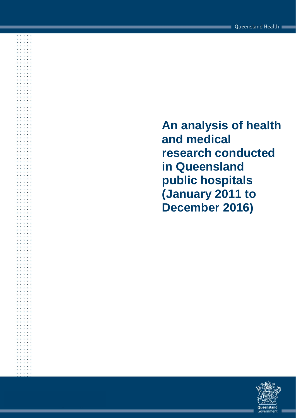**An analysis of health and medical research conducted in Queensland public hospitals (January 2011 to December 2016)**

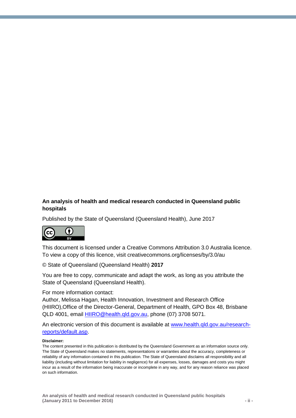#### **An analysis of health and medical research conducted in Queensland public hospitals**

Published by the State of Queensland (Queensland Health), June 2017



This document is licensed under a Creative Commons Attribution 3.0 Australia licence. To view a copy of this licence, visit creativecommons.org/licenses/by/3.0/au

© State of Queensland (Queensland Health) **2017**

You are free to copy, communicate and adapt the work, as long as you attribute the State of Queensland (Queensland Health).

For more information contact:

Author, Melissa Hagan, Health Innovation, Investment and Research Office (HIIRO),Office of the Director-General, Department of Health, GPO Box 48, Brisbane QLD 4001, email [HIIRO@health.qld.gov.au,](mailto:HIIRO@health.qld.gov.au) phone (07) 3708 5071.

An electronic version of this document is available at [www.health.qld.gov.au/research](http://www.health.qld.gov.au/research-reports/default.asp)[reports/default.asp.](http://www.health.qld.gov.au/research-reports/default.asp)

#### **Disclaimer:**

The content presented in this publication is distributed by the Queensland Government as an information source only. The State of Queensland makes no statements, representations or warranties about the accuracy, completeness or reliability of any information contained in this publication. The State of Queensland disclaims all responsibility and all liability (including without limitation for liability in negligence) for all expenses, losses, damages and costs you might incur as a result of the information being inaccurate or incomplete in any way, and for any reason reliance was placed on such information.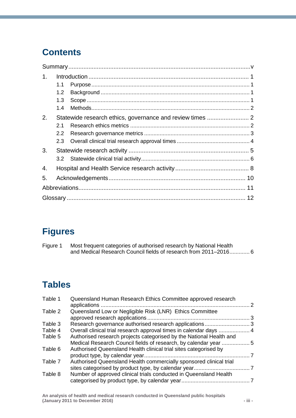# **Contents**

| $\mathbf{1}$ . |                  |  |
|----------------|------------------|--|
|                | 1.1              |  |
|                | 1.2 <sub>1</sub> |  |
|                | 1.3              |  |
|                | 1.4              |  |
| 2.             |                  |  |
|                | 2.1              |  |
|                | $2.2^{\circ}$    |  |
|                |                  |  |
| 3.             |                  |  |
|                |                  |  |
| 4.             |                  |  |
| 5.             |                  |  |
|                |                  |  |
|                |                  |  |

# **Figures**

| Figure 1 | Most frequent categories of authorised research by National Health |
|----------|--------------------------------------------------------------------|
|          | and Medical Research Council fields of research from 2011–2016 6   |

# **Tables**

| Table 1 | Queensland Human Research Ethics Committee approved research                                                                           | $\mathcal{P}$ |
|---------|----------------------------------------------------------------------------------------------------------------------------------------|---------------|
| Table 2 | Queensland Low or Negligible Risk (LNR) Ethics Committee                                                                               |               |
| Table 3 | Research governance authorised research applications3                                                                                  |               |
| Table 4 | Overall clinical trial research approval times in calendar days  4                                                                     |               |
| Table 5 | Authorised research projects categorised by the National Health and<br>Medical Research Council fields of research, by calendar year 5 |               |
| Table 6 | Authorised Queensland Health clinical trial sites categorised by                                                                       |               |
| Table 7 | Authorised Queensland Health commercially sponsored clinical trial                                                                     |               |
| Table 8 | Number of approved clinical trials conducted in Queensland Health                                                                      |               |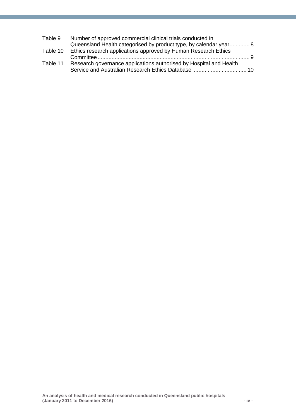| Table 9  | Number of approved commercial clinical trials conducted in              |  |
|----------|-------------------------------------------------------------------------|--|
|          | Queensland Health categorised by product type, by calendar year 8       |  |
|          | Table 10 Ethics research applications approved by Human Research Ethics |  |
|          | - 9                                                                     |  |
| Table 11 | Research governance applications authorised by Hospital and Health      |  |
|          |                                                                         |  |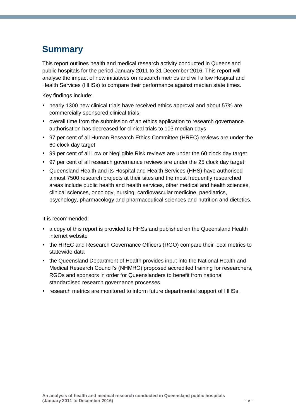# <span id="page-4-0"></span>**Summary**

This report outlines health and medical research activity conducted in Queensland public hospitals for the period January 2011 to 31 December 2016. This report will analyse the impact of new initiatives on research metrics and will allow Hospital and Health Services (HHSs) to compare their performance against median state times.

Key findings include:

- nearly 1300 new clinical trials have received ethics approval and about 57% are commercially sponsored clinical trials
- overall time from the submission of an ethics application to research governance authorisation has decreased for clinical trials to 103 median days
- 97 per cent of all Human Research Ethics Committee (HREC) reviews are under the 60 clock day target
- 99 per cent of all Low or Negligible Risk reviews are under the 60 clock day target
- 97 per cent of all research governance reviews are under the 25 clock day target
- Queensland Health and its Hospital and Health Services (HHS) have authorised almost 7500 research projects at their sites and the most frequently researched areas include public health and health services, other medical and health sciences, clinical sciences, oncology, nursing, cardiovascular medicine, paediatrics, psychology, pharmacology and pharmaceutical sciences and nutrition and dietetics.

It is recommended:

- a copy of this report is provided to HHSs and published on the Queensland Health internet website
- the HREC and Research Governance Officers (RGO) compare their local metrics to statewide data
- the Queensland Department of Health provides input into the National Health and Medical Research Council's (NHMRC) proposed accredited training for researchers, RGOs and sponsors in order for Queenslanders to benefit from national standardised research governance processes
- research metrics are monitored to inform future departmental support of HHSs.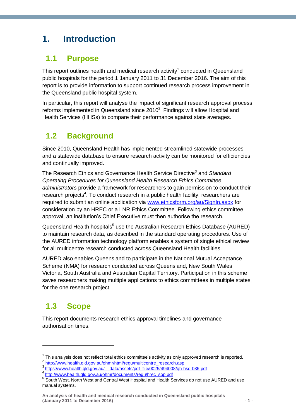# <span id="page-5-0"></span>**1. Introduction**

### <span id="page-5-1"></span>**1.1 Purpose**

This report outlines health and medical research activity<sup>1</sup> conducted in Queensland public hospitals for the period 1 January 2011 to 31 December 2016. The aim of this report is to provide information to support continued research process improvement in the Queensland public hospital system.

In particular, this report will analyse the impact of significant research approval process reforms implemented in Queensland since  $2010^2$ . Findings will allow Hospital and Health Services (HHSs) to compare their performance against state averages.

### <span id="page-5-2"></span>**1.2 Background**

Since 2010, Queensland Health has implemented streamlined statewide processes and a statewide database to ensure research activity can be monitored for efficiencies and continually improved.

The Research Ethics and Governance Health Service Directive<sup>3</sup> and Standard *Operating Procedures for Queensland Health Research Ethics Committee administrators* provide a framework for researchers to gain permission to conduct their research projects<sup>4</sup>. To conduct research in a public health facility, researchers are required to submit an online application via [www.ethicsform.org/au/SignIn.aspx](https://www.ethicsform.org/au/SignIn.aspx) for consideration by an HREC or a LNR Ethics Committee. Following ethics committee approval, an institution's Chief Executive must then authorise the research.

Queensland Health hospitals<sup>5</sup> use the Australian Research Ethics Database (AURED) to maintain research data, as described in the standard operating procedures. Use of the AURED information technology platform enables a system of single ethical review for all multicentre research conducted across Queensland Health facilities.

AURED also enables Queensland to participate in the National Mutual Acceptance Scheme (NMA) for research conducted across Queensland, New South Wales, Victoria, South Australia and Australian Capital Territory. Participation in this scheme saves researchers making multiple applications to ethics committees in multiple states, for the one research project.

## <span id="page-5-3"></span>**1.3 Scope**

1

This report documents research ethics approval timelines and governance authorisation times.

 $1$  This analysis does not reflect total ethics committee's activity as only approved research is reported.

<sup>2</sup> [http://www.health.qld.gov.au/ohmr/html/regu/multicentre\\_research.asp](http://www.health.qld.gov.au/ohmr/html/regu/multicentre_research.asp) 

<sup>3</sup> [https://www.health.qld.gov.au/\\_\\_data/assets/pdf\\_file/0025/494008/qh-hsd-035.pdf](https://www.health.qld.gov.au/__data/assets/pdf_file/0025/494008/qh-hsd-035.pdf)

<sup>4</sup> [http://www.health.qld.gov.au/ohmr/documents/regu/hrec\\_sop.pdf](http://www.health.qld.gov.au/ohmr/documents/regu/hrec_sop.pdf)

<sup>&</sup>lt;sup>5</sup> South West, North West and Central West Hospital and Health Services do not use AURED and use manual systems.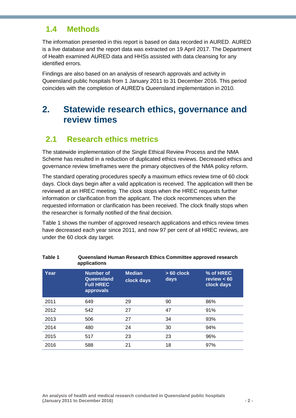### <span id="page-6-0"></span>**1.4 Methods**

The information presented in this report is based on data recorded in AURED. AURED is a live database and the report data was extracted on 19 April 2017. The Department of Health examined AURED data and HHSs assisted with data cleansing for any identified errors.

Findings are also based on an analysis of research approvals and activity in Queensland public hospitals from 1 January 2011 to 31 December 2016. This period coincides with the completion of AURED's Queensland implementation in 2010.

### <span id="page-6-1"></span>**2. Statewide research ethics, governance and review times**

### <span id="page-6-2"></span>**2.1 Research ethics metrics**

The statewide implementation of the Single Ethical Review Process and the NMA Scheme has resulted in a reduction of duplicated ethics reviews. Decreased ethics and governance review timeframes were the primary objectives of the NMA policy reform.

The standard operating procedures specify a maximum ethics review time of 60 clock days. Clock days begin after a valid application is received. The application will then be reviewed at an HREC meeting. The clock stops when the HREC requests further information or clarification from the applicant. The clock recommences when the requested information or clarification has been received. The clock finally stops when the researcher is formally notified of the final decision.

Table 1 shows the number of approved research applications and ethics review times have decreased each year since 2011, and now 97 per cent of all HREC reviews, are under the 60 clock day target.

|      | applications                                                    |                             |                     |                                          |
|------|-----------------------------------------------------------------|-----------------------------|---------------------|------------------------------------------|
| Year | <b>Number of</b><br>Queensland<br><b>Full HREC</b><br>approvals | <b>Median</b><br>clock days | $>60$ clock<br>days | % of HREC<br>review $< 60$<br>clock days |
| 2011 | 649                                                             | 29                          | 90                  | 86%                                      |
| 2012 | 542                                                             | 27                          | 47                  | 91%                                      |
| 2013 | 506                                                             | 27                          | 34                  | 93%                                      |
| 2014 | 480                                                             | 24                          | 30                  | 94%                                      |
| 2015 | 517                                                             | 23                          | 23                  | 96%                                      |
| 2016 | 588                                                             | 21                          | 18                  | 97%                                      |

# <span id="page-6-3"></span>**Table 1 Queensland Human Research Ethics Committee approved research**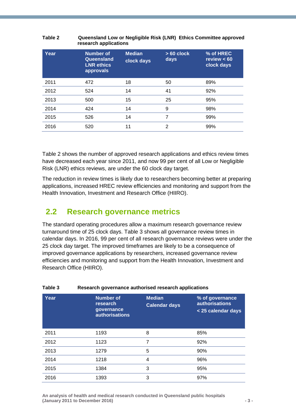| <b>Year</b> | <b>Number of</b><br>Queensland<br><b>LNR</b> ethics<br>approvals | <b>Median</b><br>clock days | $>60$ clock<br>days | % of HREC<br>review $< 60$<br>clock days |
|-------------|------------------------------------------------------------------|-----------------------------|---------------------|------------------------------------------|
| 2011        | 472                                                              | 18                          | 50                  | 89%                                      |
| 2012        | 524                                                              | 14                          | 41                  | 92%                                      |
| 2013        | 500                                                              | 15                          | 25                  | 95%                                      |
| 2014        | 424                                                              | 14                          | 9                   | 98%                                      |
| 2015        | 526                                                              | 14                          | 7                   | 99%                                      |
| 2016        | 520                                                              | 11                          | 2                   | 99%                                      |

#### <span id="page-7-1"></span>**Table 2 Queensland Low or Negligible Risk (LNR) Ethics Committee approved research applications**

Table 2 shows the number of approved research applications and ethics review times have decreased each year since 2011, and now 99 per cent of all Low or Negligible Risk (LNR) ethics reviews, are under the 60 clock day target.

The reduction in review times is likely due to researchers becoming better at preparing applications, increased HREC review efficiencies and monitoring and support from the Health Innovation, Investment and Research Office (HIIRO).

### <span id="page-7-0"></span>**2.2 Research governance metrics**

The standard operating procedures allow a maximum research governance review turnaround time of 25 clock days. Table 3 shows all governance review times in calendar days. In 2016, 99 per cent of all research governance reviews were under the 25 clock day target. The improved timeframes are likely to be a consequence of improved governance applications by researchers, increased governance review efficiencies and monitoring and support from the Health Innovation, Investment and Research Office (HIIRO).

| i abie o | Research governance additionsed research applications               |                                       |                                                                |
|----------|---------------------------------------------------------------------|---------------------------------------|----------------------------------------------------------------|
| Year     | <b>Number of</b><br>research<br>governance<br><b>authorisations</b> | <b>Median</b><br><b>Calendar days</b> | % of governance<br><b>authorisations</b><br>< 25 calendar days |
| 2011     | 1193                                                                | 8                                     | 85%                                                            |
| 2012     | 1123                                                                | 7                                     | 92%                                                            |
| 2013     | 1279                                                                | 5                                     | 90%                                                            |
| 2014     | 1218                                                                | 4                                     | 96%                                                            |
| 2015     | 1384                                                                | 3                                     | 95%                                                            |
| 2016     | 1393                                                                | 3                                     | 97%                                                            |

<span id="page-7-2"></span>**Table 3 Research governance authorised research applications**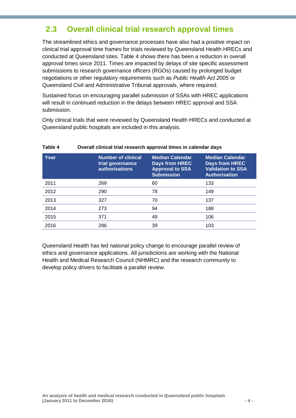### <span id="page-8-0"></span>**2.3 Overall clinical trial research approval times**

The streamlined ethics and governance processes have also had a positive impact on clinical trial approval time frames for trials reviewed by Queensland Health HRECs and conducted at Queensland sites. Table 4 shows there has been a reduction in overall approval times since 2011. Times are impacted by delays of site specific assessment submissions to research governance officers (RGOs) caused by prolonged budget negotiations or other regulatory requirements such as *Public Health Act 2005* or Queensland Civil and Administrative Tribunal approvals, where required.

Sustained focus on encouraging parallel submission of SSAs with HREC applications will result in continued reduction in the delays between HREC approval and SSA submission.

Only clinical trials that were reviewed by Queensland Health HRECs and conducted at Queensland public hospitals are included in this analysis.

| Year | <b>Number of clinical</b><br>trial governance<br><b>authorisations</b> | <b>Median Calendar</b><br><b>Days from HREC</b><br><b>Approval to SSA</b><br><b>Submission</b> | <b>Median Calendar</b><br><b>Days from HREC</b><br><b>Validation to SSA</b><br><b>Authorisation</b> |
|------|------------------------------------------------------------------------|------------------------------------------------------------------------------------------------|-----------------------------------------------------------------------------------------------------|
| 2011 | 269                                                                    | 60                                                                                             | 133                                                                                                 |
| 2012 | 290                                                                    | 78                                                                                             | 149                                                                                                 |
| 2013 | 327                                                                    | 70                                                                                             | 137                                                                                                 |
| 2014 | 273                                                                    | 94                                                                                             | 188                                                                                                 |
| 2015 | 371                                                                    | 49                                                                                             | 106                                                                                                 |
| 2016 | 286                                                                    | 39                                                                                             | 103                                                                                                 |

<span id="page-8-1"></span>**Table 4 Overall clinical trial research approval times in calendar days**

Queensland Health has led national policy change to encourage parallel review of ethics and governance applications. All jurisdictions are working with the National Health and Medical Research Council (NHMRC) and the research community to develop policy drivers to facilitate a parallel review.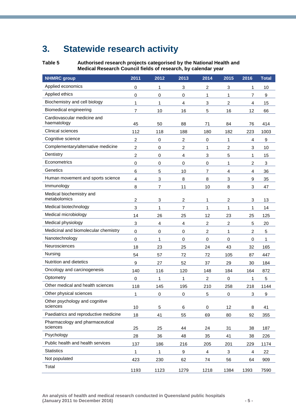# <span id="page-9-0"></span>**3. Statewide research activity**

<span id="page-9-1"></span>

**Table 5 Authorised research projects categorised by the National Health and Medical Research Council fields of research, by calendar year**

| <b>NHMRC</b> group                          | 2011                    | 2012           | 2013           | 2014           | 2015           | 2016        | <b>Total</b> |
|---------------------------------------------|-------------------------|----------------|----------------|----------------|----------------|-------------|--------------|
| Applied economics                           | 0                       | 1              | 3              | $\overline{c}$ | 3              | 1           | 10           |
| Applied ethics                              | 0                       | 0              | $\pmb{0}$      | 1              | 1              | 7           | 9            |
| Biochemistry and cell biology               | 1                       | 1              | 4              | 3              | $\overline{c}$ | 4           | 15           |
| Biomedical engineering                      | $\overline{7}$          | 10             | 16             | 5              | 16             | 12          | 66           |
| Cardiovascular medicine and<br>haematology  | 45                      | 50             | 88             | 71             | 84             | 76          | 414          |
| Clinical sciences                           | 112                     | 118            | 188            | 180            | 182            | 223         | 1003         |
| Cognitive science                           | 2                       | 0              | $\overline{c}$ | 0              | 1              | 4           | 9            |
| Complementary/alternative medicine          | $\overline{c}$          | 0              | 2              | 1              | $\overline{c}$ | 3           | 10           |
| Dentistry                                   | 2                       | 0              | 4              | 3              | 5              | 1           | 15           |
| Econometrics                                | $\mathbf 0$             | $\mathbf 0$    | $\mathbf 0$    | 0              | 1              | 2           | 3            |
| Genetics                                    | 6                       | 5              | 10             | 7              | 4              | 4           | 36           |
| Human movement and sports science           | 4                       | 3              | 8              | 8              | 3              | 9           | 35           |
| Immunology                                  | 8                       | $\overline{7}$ | 11             | 10             | 8              | 3           | 47           |
| Medical biochemistry and<br>metabolomics    | $\overline{\mathbf{c}}$ | 3              | 2              | 1              | $\overline{c}$ | 3           | 13           |
| Medical biotechnology                       | 3                       | 1              | $\overline{7}$ | 1              | 1              | 1           | 14           |
| Medical microbiology                        | 14                      | 26             | 25             | 12             | 23             | 25          | 125          |
| Medical physiology                          | 3                       | 4              | $\overline{4}$ | 2              | $\overline{c}$ | 5           | 20           |
| Medicinal and biomolecular chemistry        | 0                       | 0              | $\pmb{0}$      | $\overline{c}$ | 1              | 2           | 5            |
| Nanotechnology                              | $\mathbf 0$             | 1              | $\mathbf 0$    | $\mathbf 0$    | $\mathbf 0$    | $\mathbf 0$ | 1            |
| Neurosciences                               | 18                      | 23             | 25             | 24             | 43             | 32          | 165          |
| Nursing                                     | 54                      | 57             | 72             | 72             | 105            | 87          | 447          |
| Nutrition and dietetics                     | 9                       | 27             | 52             | 37             | 29             | 30          | 184          |
| Oncology and carcinogenesis                 | 140                     | 116            | 120            | 148            | 184            | 164         | 872          |
| Optometry                                   | 0                       | 1              | 1              | $\overline{c}$ | $\mathbf 0$    | 1           | 5            |
| Other medical and health sciences           | 118                     | 145            | 195            | 210            | 258            | 218         | 1144         |
| Other physical sciences                     | 1                       | 0              | $\mathbf 0$    | 5              | 0              | 3           | 9            |
| Other psychology and cognitive<br>sciences  | 10                      | 5              | 6              | 0              | 12             | 8           | 41           |
| Paediatrics and reproductive medicine       | 18                      | 41             | 55             | 69             | 80             | 92          | 355          |
| Pharmacology and pharmaceutical<br>sciences | 25                      | 25             | 44             | 24             | 31             | 38          | 187          |
| Psychology                                  | 28                      | 36             | 48             | 35             | 41             | 38          | 226          |
| Public health and health services           | 137                     | 186            | 216            | 205            | 201            | 229         | 1174         |
| <b>Statistics</b>                           | 1                       | 1              | 9              | 4              | 3              | 4           | 22           |
| Not populated                               | 423                     | 230            | 62             | 74             | 56             | 64          | 909          |
| Total                                       | 1193                    | 1123           | 1279           | 1218           | 1384           | 1393        | 7590         |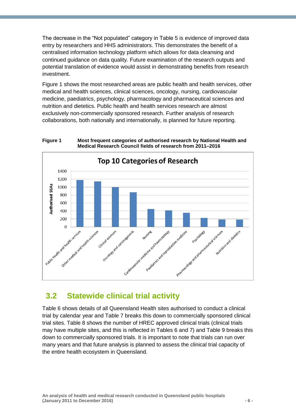The decrease in the "Not populated" category in Table 5 is evidence of improved data entry by researchers and HHS administrators. This demonstrates the benefit of a centralised information technology platform which allows for data cleansing and continued guidance on data quality. Future examination of the research outputs and potential translation of evidence would assist in demonstrating benefits from research investment.

Figure 1 shows the most researched areas are public health and health services, other medical and health sciences, clinical sciences, oncology, nursing, cardiovascular medicine, paediatrics, psychology, pharmacology and pharmaceutical sciences and nutrition and dietetics. Public health and health services research are almost exclusively non-commercially sponsored research. Further analysis of research collaborations, both nationally and internationally, is planned for future reporting.

<span id="page-10-1"></span>**Figure 1 Most frequent categories of authorised research by National Health and Medical Research Council fields of research from 2011–2016**



### <span id="page-10-0"></span>**3.2 Statewide clinical trial activity**

Table 6 shows details of all Queensland Health sites authorised to conduct a clinical trial by calendar year and Table 7 breaks this down to commercially sponsored clinical trial sites. Table 8 shows the number of HREC approved clinical trials (clinical trials may have multiple sites, and this is reflected in Tables 6 and 7) and Table 9 breaks this down to commercially sponsored trials. It is important to note that trials can run over many years and that future analysis is planned to assess the clinical trial capacity of the entire health ecosystem in Queensland.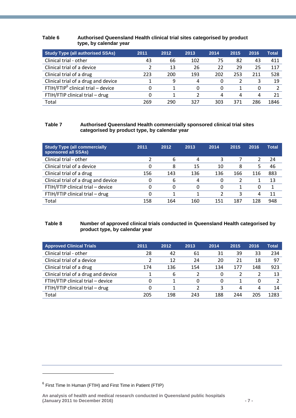#### <span id="page-11-0"></span>**Table 6 Authorised Queensland Health clinical trial sites categorised by product type, by calendar year**

| <b>Study Type (all authorised SSAs)</b> | 2011 | 2012 | 2013 | 2014 | 2015 | 2016 | Total |
|-----------------------------------------|------|------|------|------|------|------|-------|
| Clinical trial - other                  | 43   | 66   | 102  | 75   | 82   | 43   | 411   |
| Clinical trial of a device              |      | 13   | 26   | 22   | 29   | 25   | 117   |
| Clinical trial of a drug                | 223  | 200  | 193  | 202  | 253  | 211  | 528   |
| Clinical trial of a drug and device     |      | 9    | 4    | 0    |      | 3    | 19    |
| $FTIH/FTIP6$ clinical trial – device    |      |      | 0    | 0    |      | 0    |       |
| FTIH/FTIP clinical trial - drug         |      |      | 2    | 4    | 4    | 4    | 21    |
| Total                                   | 269  | 290  | 327  | 303  | 371  | 286  | 1846  |

#### <span id="page-11-1"></span>**Table 7 Authorised Queensland Health commercially sponsored clinical trial sites categorised by product type, by calendar year**

| <b>Study Type (all commercially</b><br>sponsored all SSAs) | 2011 | 2012 | 2013 | 2014 | 2015 | 2016 | <b>Total</b> |
|------------------------------------------------------------|------|------|------|------|------|------|--------------|
| Clinical trial - other                                     |      | 6    | 4    | 3    |      |      | 24           |
| Clinical trial of a device                                 |      | 8    | 15   | 10   | 8    | 5    | 46           |
| Clinical trial of a drug                                   | 156  | 143  | 136  | 136  | 166  | 116  | 883          |
| Clinical trial of a drug and device                        |      | 6    | 4    | 0    |      |      | 13           |
| FTIH/FTIP clinical trial - device                          |      | 0    | 0    | 0    |      | 0    |              |
| FTIH/FTIP clinical trial - drug                            |      |      |      |      | 3    | 4    | 11           |
| Total                                                      | 158  | 164  | 160  | 151  | 187  | 128  | 948          |

#### <span id="page-11-2"></span>**Table 8 Number of approved clinical trials conducted in Queensland Health categorised by product type, by calendar year**

| <b>Approved Clinical Trials</b>     | 2011 | 2012 | 2013 | 2014 | 2015 | 2016 | Total |
|-------------------------------------|------|------|------|------|------|------|-------|
| Clinical trial - other              | 28   | 42   | 61   | 31   | 39   | 33   | 234   |
| Clinical trial of a device          |      | 12   | 24   | 20   | 21   | 18   | 97    |
| Clinical trial of a drug            | 174  | 136  | 154  | 134  | 177  | 148  | 923   |
| Clinical trial of a drug and device |      | 6    | 2    | 0    |      |      | 13    |
| FTIH/FTIP clinical trial - device   |      |      | 0    | 0    |      | 0    |       |
| FTIH/FTIP clinical trial - drug     |      |      |      |      | 4    | 4    | 14    |
| Total                               | 205  | 198  | 243  | 188  | 244  | 205  | 1283  |

-

<sup>6</sup> First Time In Human (FTIH) and First Time in Patient (FTIP)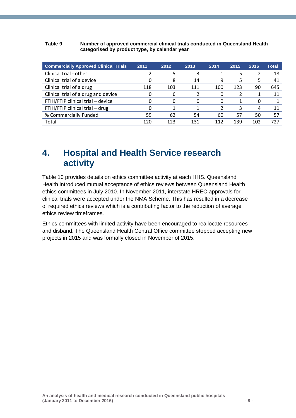#### <span id="page-12-1"></span>**Table 9 Number of approved commercial clinical trials conducted in Queensland Health categorised by product type, by calendar year**

| <b>Commercially Approved Clinical Trials</b> | 2011 | 2012 | 2013 | 2014 | 2015 | 2016 | <b>Total</b> |
|----------------------------------------------|------|------|------|------|------|------|--------------|
| Clinical trial - other                       |      |      |      |      | Ь    |      | 18           |
| Clinical trial of a device                   |      | 8    | 14   | 9    | 5    | 5    | 41           |
| Clinical trial of a drug                     | 118  | 103  | 111  | 100  | 123  | 90   | 645          |
| Clinical trial of a drug and device          |      | b    |      | 0    |      |      | 11           |
| FTIH/FTIP clinical trial - device            |      | 0    | 0    | 0    |      | 0    |              |
| FTIH/FTIP clinical trial - drug              |      |      |      | 2    | 3    | 4    | 11           |
| % Commercially Funded                        | 59   | 62   | 54   | 60   | 57   | 50   | 57           |
| Total                                        | 120  | 123  | 131  | 112  | 139  | 102  | 727          |

### <span id="page-12-0"></span>**4. Hospital and Health Service research activity**

Table 10 provides details on ethics committee activity at each HHS. Queensland Health introduced mutual acceptance of ethics reviews between Queensland Health ethics committees in July 2010. In November 2011, interstate HREC approvals for clinical trials were accepted under the NMA Scheme. This has resulted in a decrease of required ethics reviews which is a contributing factor to the reduction of average ethics review timeframes.

Ethics committees with limited activity have been encouraged to reallocate resources and disband. The Queensland Health Central Office committee stopped accepting new projects in 2015 and was formally closed in November of 2015.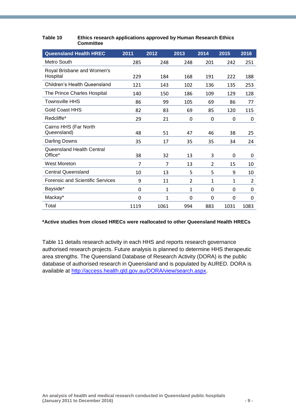| <b>Queensland Health HREC</b>           | 2011     | 2012           | 2013 | 2014           | 2015         | 2016 |
|-----------------------------------------|----------|----------------|------|----------------|--------------|------|
| Metro South                             | 285      | 248            | 248  | 201            | 242          | 251  |
| Royal Brisbane and Women's<br>Hospital  | 229      | 184            | 168  | 191            | 222          | 188  |
| <b>Children's Health Queensland</b>     | 121      | 143            | 102  | 136            | 135          | 253  |
| The Prince Charles Hospital             | 140      | 150            | 186  | 109            | 129          | 128  |
| <b>Townsville HHS</b>                   | 86       | 99             | 105  | 69             | 86           | 77   |
| <b>Gold Coast HHS</b>                   | 82       | 83             | 69   | 85             | 120          | 115  |
| Redcliffe*                              | 29       | 21             | 0    | 0              | 0            | 0    |
| Cairns HHS (Far North<br>Queensland)    | 48       | 51             | 47   | 46             | 38           | 25   |
| Darling Downs                           | 35       | 17             | 35   | 35             | 34           | 24   |
| Queensland Health Central<br>Office*    | 38       | 32             | 13   | 3              | 0            | 0    |
| West Moreton                            | 7        | $\overline{7}$ | 13   | $\overline{2}$ | 15           | 10   |
| <b>Central Queensland</b>               | 10       | 13             | 5    | 5              | 9            | 10   |
| <b>Forensic and Scientific Services</b> | 9        | 11             | 2    | $\mathbf{1}$   | $\mathbf{1}$ | 2    |
| Bayside*                                | $\Omega$ | $\mathbf{1}$   | 1    | 0              | 0            | 0    |
| Mackay*                                 | 0        | 1              | 0    | 0              | 0            | 0    |
| Total                                   | 1119     | 1061           | 994  | 883            | 1031         | 1083 |

#### <span id="page-13-0"></span>**Table 10 Ethics research applications approved by Human Research Ethics Committee**

#### **\*Active studies from closed HRECs were reallocated to other Queensland Health HRECs**

Table 11 details research activity in each HHS and reports research governance authorised research projects. Future analysis is planned to determine HHS therapeutic area strengths. The Queensland Database of Research Activity (DORA) is the public database of authorised research in Queensland and is populated by AURED. DORA is available at [http://access.health.qld.gov.au/DORA/view/search.aspx.](http://access.health.qld.gov.au/DORA/view/search.aspx)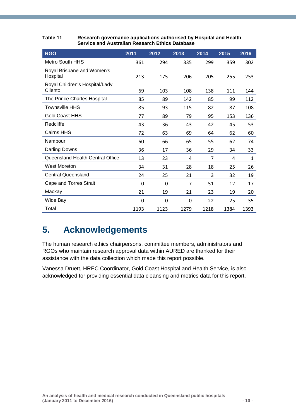| <b>RGO</b>                                | 2011 | 2012 | 2013 | 2014 | 2015 | 2016         |
|-------------------------------------------|------|------|------|------|------|--------------|
| <b>Metro South HHS</b>                    | 361  | 294  | 335  | 299  | 359  | 302          |
| Royal Brisbane and Women's<br>Hospital    | 213  | 175  | 206  | 205  | 255  | 253          |
| Royal Children's Hospital/Lady<br>Cilento | 69   | 103  | 108  | 138  | 111  | 144          |
| The Prince Charles Hospital               | 85   | 89   | 142  | 85   | 99   | 112          |
| <b>Townsville HHS</b>                     | 85   | 93   | 115  | 82   | 87   | 108          |
| <b>Gold Coast HHS</b>                     | 77   | 89   | 79   | 95   | 153  | 136          |
| Redcliffe                                 | 43   | 36   | 43   | 42   | 45   | 53           |
| <b>Cairns HHS</b>                         | 72   | 63   | 69   | 64   | 62   | 60           |
| Nambour                                   | 60   | 66   | 65   | 55   | 62   | 74           |
| Darling Downs                             | 36   | 17   | 36   | 29   | 34   | 33           |
| Queensland Health Central Office          | 13   | 23   | 4    | 7    | 4    | $\mathbf{1}$ |
| <b>West Moreton</b>                       | 34   | 31   | 28   | 18   | 25   | 26           |
| <b>Central Queensland</b>                 | 24   | 25   | 21   | 3    | 32   | 19           |
| Cape and Torres Strait                    | 0    | 0    | 7    | 51   | 12   | 17           |
| Mackay                                    | 21   | 19   | 21   | 23   | 19   | 20           |
| Wide Bay                                  | 0    | 0    | 0    | 22   | 25   | 35           |
| Total                                     | 1193 | 1123 | 1279 | 1218 | 1384 | 1393         |

<span id="page-14-1"></span>**Table 11 Research governance applications authorised by Hospital and Health Service and Australian Research Ethics Database**

## <span id="page-14-0"></span>**5. Acknowledgements**

The human research ethics chairpersons, committee members, administrators and RGOs who maintain research approval data within AURED are thanked for their assistance with the data collection which made this report possible.

Vanessa Druett, HREC Coordinator, Gold Coast Hospital and Health Service, is also acknowledged for providing essential data cleansing and metrics data for this report.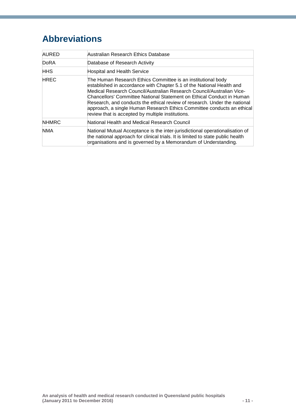# <span id="page-15-0"></span>**Abbreviations**

| AURED        | Australian Research Ethics Database                                                                                                                                                                                                                                                                                                                                                                                                                                                                 |
|--------------|-----------------------------------------------------------------------------------------------------------------------------------------------------------------------------------------------------------------------------------------------------------------------------------------------------------------------------------------------------------------------------------------------------------------------------------------------------------------------------------------------------|
| DoRA         | Database of Research Activity                                                                                                                                                                                                                                                                                                                                                                                                                                                                       |
| <b>HHS</b>   | <b>Hospital and Health Service</b>                                                                                                                                                                                                                                                                                                                                                                                                                                                                  |
| <b>HREC</b>  | The Human Research Ethics Committee is an institutional body<br>established in accordance with Chapter 5.1 of the National Health and<br>Medical Research Council/Australian Research Council/Australian Vice-<br>Chancellors' Committee National Statement on Ethical Conduct in Human<br>Research, and conducts the ethical review of research. Under the national<br>approach, a single Human Research Ethics Committee conducts an ethical<br>review that is accepted by multiple institutions. |
| <b>NHMRC</b> | National Health and Medical Research Council                                                                                                                                                                                                                                                                                                                                                                                                                                                        |
| <b>NMA</b>   | National Mutual Acceptance is the inter-jurisdictional operationalisation of<br>the national approach for clinical trials. It is limited to state public health<br>organisations and is governed by a Memorandum of Understanding.                                                                                                                                                                                                                                                                  |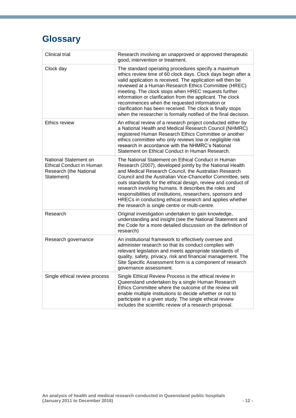# <span id="page-16-0"></span>**Glossary**

| <b>Clinical trial</b>                                                                            | Research involving an unapproved or approved therapeutic<br>good, intervention or treatment.                                                                                                                                                                                                                                                                                                                                                                                                                                                        |
|--------------------------------------------------------------------------------------------------|-----------------------------------------------------------------------------------------------------------------------------------------------------------------------------------------------------------------------------------------------------------------------------------------------------------------------------------------------------------------------------------------------------------------------------------------------------------------------------------------------------------------------------------------------------|
| Clock day                                                                                        | The standard operating procedures specify a maximum<br>ethics review time of 60 clock days. Clock days begin after a<br>valid application is received. The application will then be<br>reviewed at a Human Research Ethics Committee (HREC)<br>meeting. The clock stops when HREC requests further<br>information or clarification from the applicant. The clock<br>recommences when the requested information or<br>clarification has been received. The clock is finally stops<br>when the researcher is formally notified of the final decision. |
| Ethics review                                                                                    | An ethical review of a research project conducted either by<br>a National Health and Medical Research Council (NHMRC)<br>registered Human Research Ethics Committee or another<br>ethics committee who only reviews low or negligible risk<br>research in accordance with the NHMRC's National<br>Statement on Ethical Conduct in Human Research.                                                                                                                                                                                                   |
| National Statement on<br><b>Ethical Conduct in Human</b><br>Research (the National<br>Statement) | The National Statement on Ethical Conduct in Human<br>Research (2007), developed jointly by the National Health<br>and Medical Research Council, the Australian Research<br>Council and the Australian Vice-Chancellor Committee, sets<br>outs standards for the ethical design, review and conduct of<br>research involving humans. It describes the roles and<br>responsibilities of institutions, researchers, sponsors and<br>HRECs in conducting ethical research and applies whether<br>the research is single centre or multi-centre.        |
| Research                                                                                         | Original investigation undertaken to gain knowledge,<br>understanding and insight (see the National Statement and<br>the Code for a more detailed discussion on the definition of<br>research)                                                                                                                                                                                                                                                                                                                                                      |
| Research governance                                                                              | An institutional framework to effectively oversee and<br>administer research so that its conduct complies with<br>relevant legislation and meets appropriate standards of<br>quality, safety, privacy, risk and financial management. The<br>Site Specific Assessment form is a component of research<br>governance assessment.                                                                                                                                                                                                                     |
| Single ethical review process                                                                    | Single Ethical Review Process is the ethical review in<br>Queensland undertaken by a single Human Research<br>Ethics Committee where the outcome of the review will<br>enable multiple institutions to decide whether or not to<br>participate in a given study. The single ethical review<br>includes the scientific review of a research proposal.                                                                                                                                                                                                |